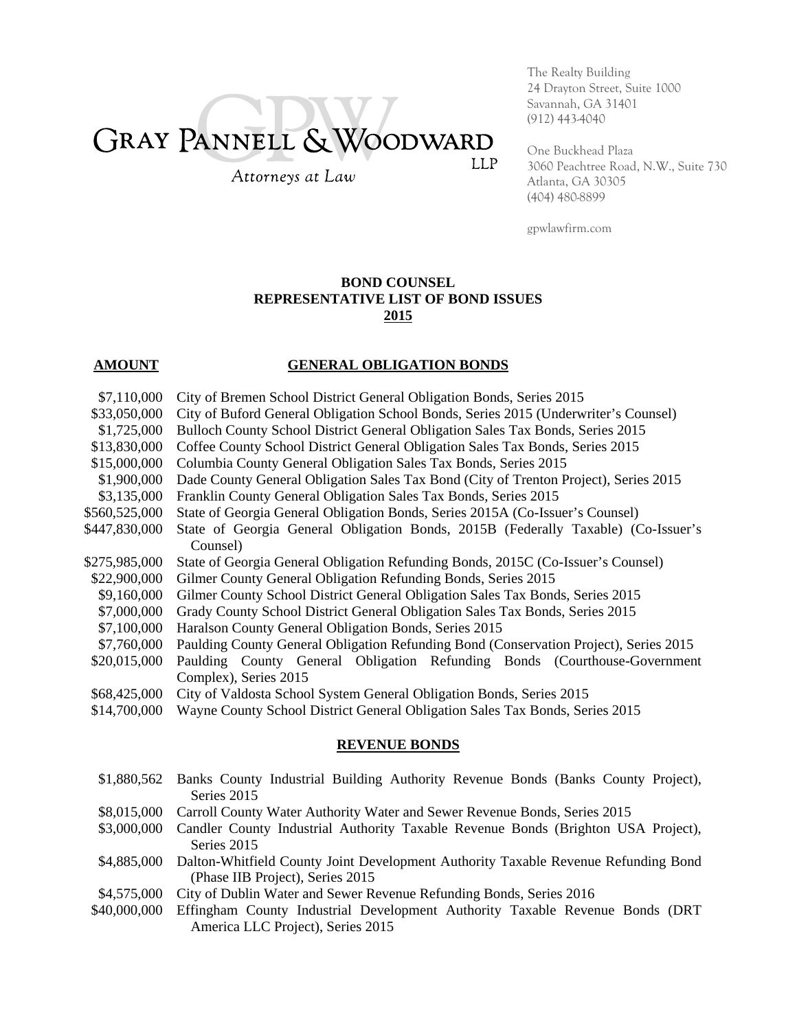# GRAY PANNELL & WOODWARD **LLP**

Attorneys at Law

The Realty Building 24 Drayton Street, Suite 1000 Savannah, GA 31401 (912) 443-4040

One Buckhead Plaza 3060 Peachtree Road, N.W., Suite 730 Atlanta, GA 30305 (404) 480-8899

gpwlawfirm.com

#### **BOND COUNSEL REPRESENTATIVE LIST OF BOND ISSUES 2015**

## **AMOUNT GENERAL OBLIGATION BONDS**

- \$7,110,000 City of Bremen School District General Obligation Bonds, Series 2015
- \$33,050,000 City of Buford General Obligation School Bonds, Series 2015 (Underwriter's Counsel)
- \$1,725,000 Bulloch County School District General Obligation Sales Tax Bonds, Series 2015
- \$13,830,000 Coffee County School District General Obligation Sales Tax Bonds, Series 2015
- \$15,000,000 Columbia County General Obligation Sales Tax Bonds, Series 2015
- \$1,900,000 Dade County General Obligation Sales Tax Bond (City of Trenton Project), Series 2015
- \$3,135,000 Franklin County General Obligation Sales Tax Bonds, Series 2015
- \$560,525,000 State of Georgia General Obligation Bonds, Series 2015A (Co-Issuer's Counsel)
- \$447,830,000 State of Georgia General Obligation Bonds, 2015B (Federally Taxable) (Co-Issuer's Counsel)
- \$275,985,000 State of Georgia General Obligation Refunding Bonds, 2015C (Co-Issuer's Counsel)
- \$22,900,000 Gilmer County General Obligation Refunding Bonds, Series 2015
- \$9,160,000 Gilmer County School District General Obligation Sales Tax Bonds, Series 2015
- \$7,000,000 Grady County School District General Obligation Sales Tax Bonds, Series 2015
- \$7,100,000 Haralson County General Obligation Bonds, Series 2015
- \$7,760,000 Paulding County General Obligation Refunding Bond (Conservation Project), Series 2015
- \$20,015,000 Paulding County General Obligation Refunding Bonds (Courthouse-Government Complex), Series 2015
- \$68,425,000 City of Valdosta School System General Obligation Bonds, Series 2015
- \$14,700,000 Wayne County School District General Obligation Sales Tax Bonds, Series 2015

#### **REVENUE BONDS**

- \$1,880,562 Banks County Industrial Building Authority Revenue Bonds (Banks County Project), Series 2015
- \$8,015,000 Carroll County Water Authority Water and Sewer Revenue Bonds, Series 2015
- \$3,000,000 Candler County Industrial Authority Taxable Revenue Bonds (Brighton USA Project), Series 2015
- \$4,885,000 Dalton-Whitfield County Joint Development Authority Taxable Revenue Refunding Bond (Phase IIB Project), Series 2015
- \$4,575,000 City of Dublin Water and Sewer Revenue Refunding Bonds, Series 2016
- \$40,000,000 Effingham County Industrial Development Authority Taxable Revenue Bonds (DRT America LLC Project), Series 2015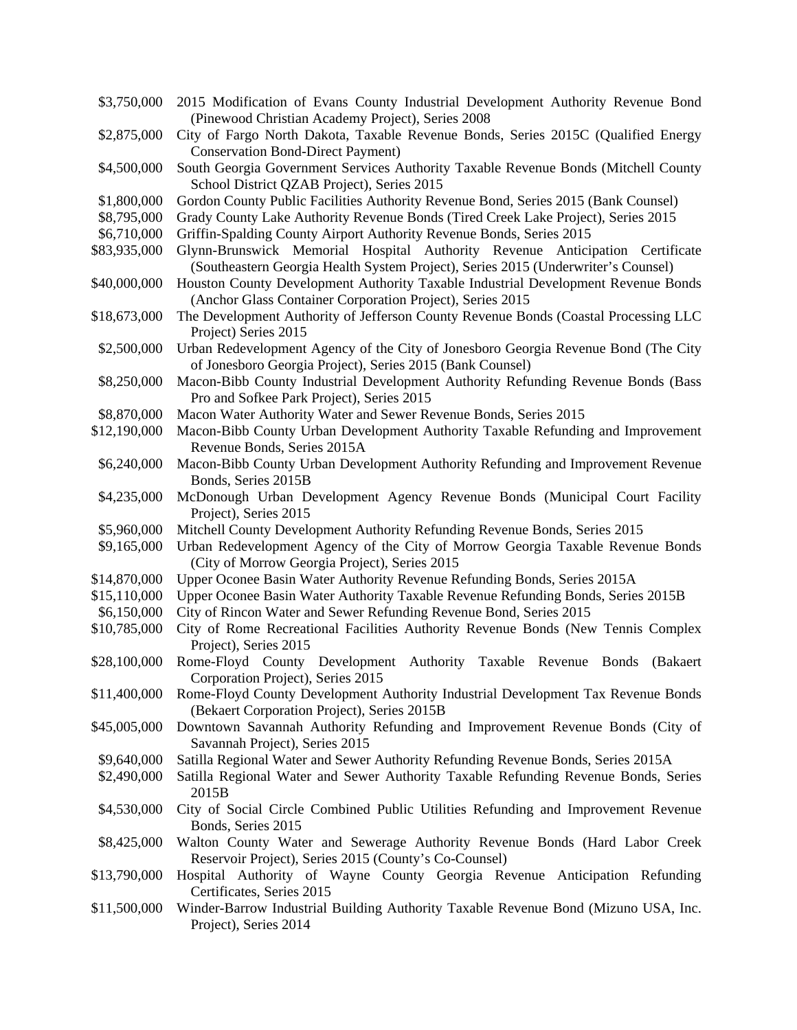| \$3,750,000  | 2015 Modification of Evans County Industrial Development Authority Revenue Bond<br>(Pinewood Christian Academy Project), Series 2008                              |
|--------------|-------------------------------------------------------------------------------------------------------------------------------------------------------------------|
| \$2,875,000  | City of Fargo North Dakota, Taxable Revenue Bonds, Series 2015C (Qualified Energy<br><b>Conservation Bond-Direct Payment)</b>                                     |
| \$4,500,000  | South Georgia Government Services Authority Taxable Revenue Bonds (Mitchell County<br>School District QZAB Project), Series 2015                                  |
| \$1,800,000  | Gordon County Public Facilities Authority Revenue Bond, Series 2015 (Bank Counsel)                                                                                |
| \$8,795,000  | Grady County Lake Authority Revenue Bonds (Tired Creek Lake Project), Series 2015                                                                                 |
| \$6,710,000  | Griffin-Spalding County Airport Authority Revenue Bonds, Series 2015                                                                                              |
|              |                                                                                                                                                                   |
| \$83,935,000 | Glynn-Brunswick Memorial Hospital Authority Revenue Anticipation Certificate<br>(Southeastern Georgia Health System Project), Series 2015 (Underwriter's Counsel) |
| \$40,000,000 | Houston County Development Authority Taxable Industrial Development Revenue Bonds<br>(Anchor Glass Container Corporation Project), Series 2015                    |
| \$18,673,000 | The Development Authority of Jefferson County Revenue Bonds (Coastal Processing LLC<br>Project) Series 2015                                                       |
| \$2,500,000  | Urban Redevelopment Agency of the City of Jonesboro Georgia Revenue Bond (The City<br>of Jonesboro Georgia Project), Series 2015 (Bank Counsel)                   |
| \$8,250,000  | Macon-Bibb County Industrial Development Authority Refunding Revenue Bonds (Bass<br>Pro and Sofkee Park Project), Series 2015                                     |
| \$8,870,000  | Macon Water Authority Water and Sewer Revenue Bonds, Series 2015                                                                                                  |
| \$12,190,000 | Macon-Bibb County Urban Development Authority Taxable Refunding and Improvement                                                                                   |
|              | Revenue Bonds, Series 2015A                                                                                                                                       |
| \$6,240,000  | Macon-Bibb County Urban Development Authority Refunding and Improvement Revenue<br>Bonds, Series 2015B                                                            |
| \$4,235,000  | McDonough Urban Development Agency Revenue Bonds (Municipal Court Facility<br>Project), Series 2015                                                               |
| \$5,960,000  | Mitchell County Development Authority Refunding Revenue Bonds, Series 2015                                                                                        |
| \$9,165,000  | Urban Redevelopment Agency of the City of Morrow Georgia Taxable Revenue Bonds                                                                                    |
|              | (City of Morrow Georgia Project), Series 2015                                                                                                                     |
| \$14,870,000 | Upper Oconee Basin Water Authority Revenue Refunding Bonds, Series 2015A                                                                                          |
| \$15,110,000 | Upper Oconee Basin Water Authority Taxable Revenue Refunding Bonds, Series 2015B                                                                                  |
| \$6,150,000  | City of Rincon Water and Sewer Refunding Revenue Bond, Series 2015                                                                                                |
| \$10,785,000 | City of Rome Recreational Facilities Authority Revenue Bonds (New Tennis Complex<br>Project), Series 2015                                                         |
| \$28,100,000 | Rome-Floyd County Development Authority Taxable Revenue Bonds<br>(Bakaert<br>Corporation Project), Series 2015                                                    |
| \$11,400,000 | Rome-Floyd County Development Authority Industrial Development Tax Revenue Bonds<br>(Bekaert Corporation Project), Series 2015B                                   |
| \$45,005,000 | Downtown Savannah Authority Refunding and Improvement Revenue Bonds (City of<br>Savannah Project), Series 2015                                                    |
| \$9,640,000  | Satilla Regional Water and Sewer Authority Refunding Revenue Bonds, Series 2015A                                                                                  |
| \$2,490,000  | Satilla Regional Water and Sewer Authority Taxable Refunding Revenue Bonds, Series                                                                                |
|              | 2015B                                                                                                                                                             |
| \$4,530,000  | City of Social Circle Combined Public Utilities Refunding and Improvement Revenue<br>Bonds, Series 2015                                                           |
| \$8,425,000  | Walton County Water and Sewerage Authority Revenue Bonds (Hard Labor Creek<br>Reservoir Project), Series 2015 (County's Co-Counsel)                               |
| \$13,790,000 | Hospital Authority of Wayne County Georgia Revenue Anticipation Refunding<br>Certificates, Series 2015                                                            |
| \$11,500,000 | Winder-Barrow Industrial Building Authority Taxable Revenue Bond (Mizuno USA, Inc.<br>Project), Series 2014                                                       |